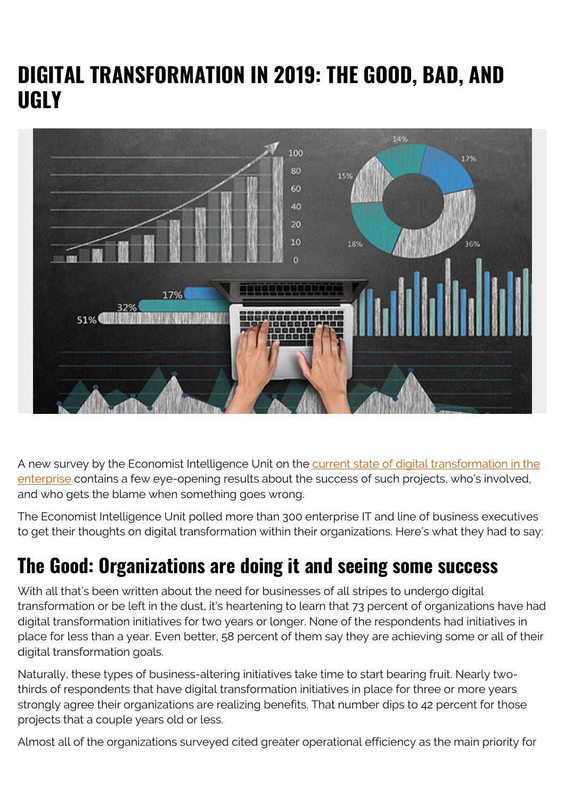## **DIGITAL TRANSFORMATION IN 2019: THE GOOD, BAD, AND UGLY**



A new survey by the Economist Intelligence Unit on the [current state of digital transformation in the](https://blogs.bmc.com/forms/it-evolving-role-in-the-digital-transformation-era.html) [enterprise](https://blogs.bmc.com/forms/it-evolving-role-in-the-digital-transformation-era.html) contains a few eye-opening results about the success of such projects, who's involved, and who gets the blame when something goes wrong.

The Economist Intelligence Unit polled more than 300 enterprise IT and line of business executives to get their thoughts on digital transformation within their organizations. Here's what they had to say:

## **The Good: Organizations are doing it and seeing some success**

With all that's been written about the need for businesses of all stripes to undergo digital transformation or be left in the dust, it's heartening to learn that 73 percent of organizations have had digital transformation initiatives for two years or longer. None of the respondents had initiatives in place for less than a year. Even better, 58 percent of them say they are achieving some or all of their digital transformation goals.

Naturally, these types of business-altering initiatives take time to start bearing fruit. Nearly twothirds of respondents that have digital transformation initiatives in place for three or more years strongly agree their organizations are realizing benefits. That number dips to 42 percent for those projects that a couple years old or less.

Almost all of the organizations surveyed cited greater operational efficiency as the main priority for